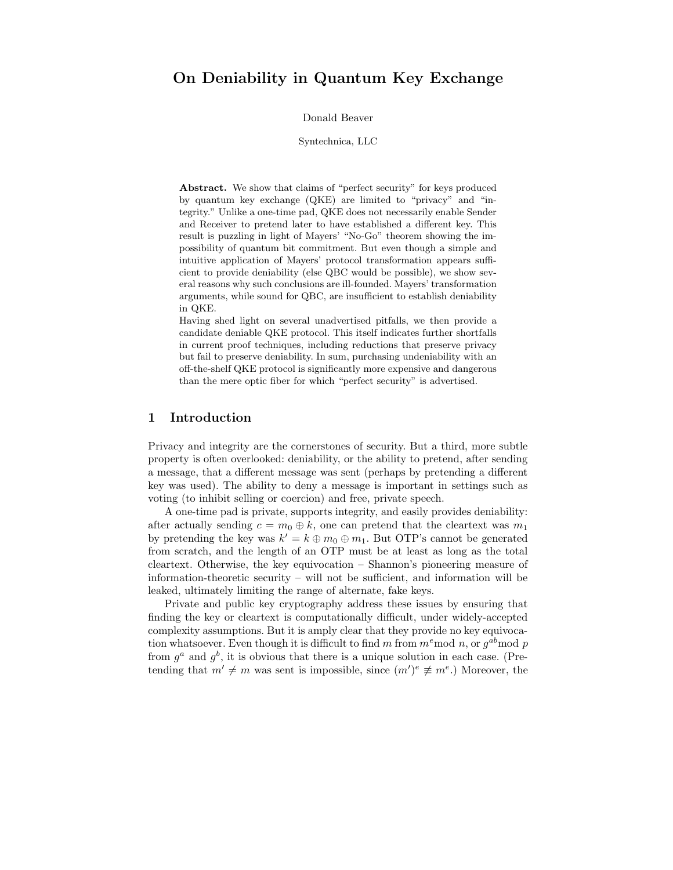# On Deniability in Quantum Key Exchange

#### Donald Beaver

#### Syntechnica, LLC

Abstract. We show that claims of "perfect security" for keys produced by quantum key exchange (QKE) are limited to "privacy" and "integrity." Unlike a one-time pad, QKE does not necessarily enable Sender and Receiver to pretend later to have established a different key. This result is puzzling in light of Mayers' "No-Go" theorem showing the impossibility of quantum bit commitment. But even though a simple and intuitive application of Mayers' protocol transformation appears sufficient to provide deniability (else QBC would be possible), we show several reasons why such conclusions are ill-founded. Mayers' transformation arguments, while sound for QBC, are insufficient to establish deniability in QKE.

Having shed light on several unadvertised pitfalls, we then provide a candidate deniable QKE protocol. This itself indicates further shortfalls in current proof techniques, including reductions that preserve privacy but fail to preserve deniability. In sum, purchasing undeniability with an off-the-shelf QKE protocol is significantly more expensive and dangerous than the mere optic fiber for which "perfect security" is advertised.

# 1 Introduction

Privacy and integrity are the cornerstones of security. But a third, more subtle property is often overlooked: deniability, or the ability to pretend, after sending a message, that a different message was sent (perhaps by pretending a different key was used). The ability to deny a message is important in settings such as voting (to inhibit selling or coercion) and free, private speech.

A one-time pad is private, supports integrity, and easily provides deniability: after actually sending  $c = m_0 \oplus k$ , one can pretend that the cleartext was  $m_1$ by pretending the key was  $k' = k \oplus m_0 \oplus m_1$ . But OTP's cannot be generated from scratch, and the length of an OTP must be at least as long as the total cleartext. Otherwise, the key equivocation – Shannon's pioneering measure of information-theoretic security – will not be sufficient, and information will be leaked, ultimately limiting the range of alternate, fake keys.

Private and public key cryptography address these issues by ensuring that finding the key or cleartext is computationally difficult, under widely-accepted complexity assumptions. But it is amply clear that they provide no key equivocation whatsoever. Even though it is difficult to find m from  $m^e \text{mod } n$ , or  $g^{ab} \text{mod } p$ from  $g^a$  and  $g^b$ , it is obvious that there is a unique solution in each case. (Pretending that  $m' \neq m$  was sent is impossible, since  $(m')^e \neq m^e$ .) Moreover, the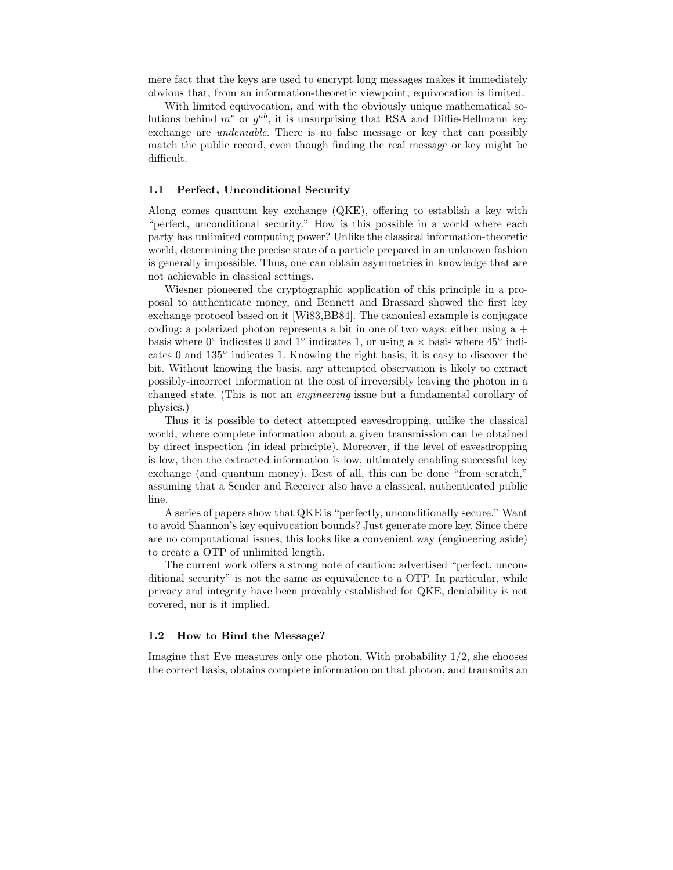mere fact that the keys are used to encrypt long messages makes it immediately obvious that, from an information-theoretic viewpoint, equivocation is limited.

With limited equivocation, and with the obviously unique mathematical solutions behind  $m^e$  or  $g^{ab}$ , it is unsurprising that RSA and Diffie-Hellmann key exchange are undeniable. There is no false message or key that can possibly match the public record, even though finding the real message or key might be difficult.

#### 1.1 Perfect, Unconditional Security

Along comes quantum key exchange (QKE), offering to establish a key with "perfect, unconditional security." How is this possible in a world where each party has unlimited computing power? Unlike the classical information-theoretic world, determining the precise state of a particle prepared in an unknown fashion is generally impossible. Thus, one can obtain asymmetries in knowledge that are not achievable in classical settings.

Wiesner pioneered the cryptographic application of this principle in a proposal to authenticate money, and Bennett and Brassard showed the first key exchange protocol based on it [Wi83,BB84]. The canonical example is conjugate coding: a polarized photon represents a bit in one of two ways: either using  $a +$ basis where  $0^{\circ}$  indicates 0 and  $1^{\circ}$  indicates 1, or using a  $\times$  basis where  $45^{\circ}$  indicates 0 and 135◦ indicates 1. Knowing the right basis, it is easy to discover the bit. Without knowing the basis, any attempted observation is likely to extract possibly-incorrect information at the cost of irreversibly leaving the photon in a changed state. (This is not an engineering issue but a fundamental corollary of physics.)

Thus it is possible to detect attempted eavesdropping, unlike the classical world, where complete information about a given transmission can be obtained by direct inspection (in ideal principle). Moreover, if the level of eavesdropping is low, then the extracted information is low, ultimately enabling successful key exchange (and quantum money). Best of all, this can be done "from scratch," assuming that a Sender and Receiver also have a classical, authenticated public line.

A series of papers show that QKE is "perfectly, unconditionally secure." Want to avoid Shannon's key equivocation bounds? Just generate more key. Since there are no computational issues, this looks like a convenient way (engineering aside) to create a OTP of unlimited length.

The current work offers a strong note of caution: advertised "perfect, unconditional security" is not the same as equivalence to a OTP. In particular, while privacy and integrity have been provably established for QKE, deniability is not covered, nor is it implied.

### 1.2 How to Bind the Message?

Imagine that Eve measures only one photon. With probability  $1/2$ , she chooses the correct basis, obtains complete information on that photon, and transmits an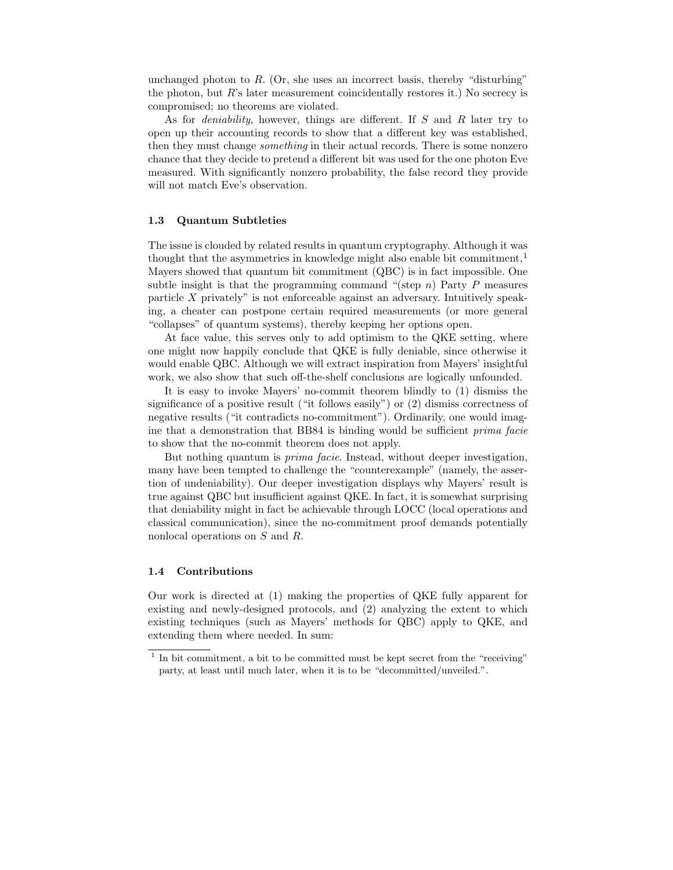unchanged photon to  $R$ . (Or, she uses an incorrect basis, thereby "disturbing" the photon, but  $R$ 's later measurement coincidentally restores it.) No secrecy is compromised; no theorems are violated.

As for *deniability*, however, things are different. If S and R later try to open up their accounting records to show that a different key was established, then they must change something in their actual records. There is some nonzero chance that they decide to pretend a different bit was used for the one photon Eve measured. With significantly nonzero probability, the false record they provide will not match Eve's observation.

# 1.3 Quantum Subtleties

The issue is clouded by related results in quantum cryptography. Although it was thought that the asymmetries in knowledge might also enable bit commitment,<sup>1</sup> Mayers showed that quantum bit commitment (QBC) is in fact impossible. One subtle insight is that the programming command "(step  $n$ ) Party P measures particle X privately" is not enforceable against an adversary. Intuitively speaking, a cheater can postpone certain required measurements (or more general "collapses" of quantum systems), thereby keeping her options open.

At face value, this serves only to add optimism to the QKE setting, where one might now happily conclude that QKE is fully deniable, since otherwise it would enable QBC. Although we will extract inspiration from Mayers' insightful work, we also show that such off-the-shelf conclusions are logically unfounded.

It is easy to invoke Mayers' no-commit theorem blindly to (1) dismiss the significance of a positive result ("it follows easily") or (2) dismiss correctness of negative results ("it contradicts no-commitment"). Ordinarily, one would imagine that a demonstration that BB84 is binding would be sufficient prima facie to show that the no-commit theorem does not apply.

But nothing quantum is prima facie. Instead, without deeper investigation, many have been tempted to challenge the "counterexample" (namely, the assertion of undeniability). Our deeper investigation displays why Mayers' result is true against QBC but insufficient against QKE. In fact, it is somewhat surprising that deniability might in fact be achievable through LOCC (local operations and classical communication), since the no-commitment proof demands potentially nonlocal operations on S and R.

### 1.4 Contributions

Our work is directed at (1) making the properties of QKE fully apparent for existing and newly-designed protocols, and (2) analyzing the extent to which existing techniques (such as Mayers' methods for QBC) apply to QKE, and extending them where needed. In sum:

<sup>&</sup>lt;sup>1</sup> In bit commitment, a bit to be committed must be kept secret from the "receiving" party, at least until much later, when it is to be "decommitted/unveiled.".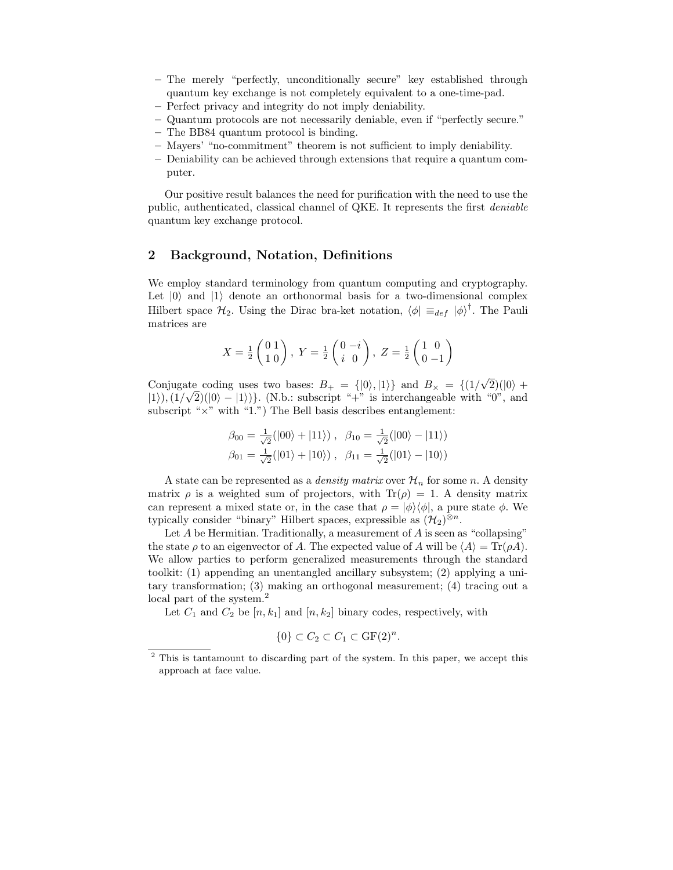- The merely "perfectly, unconditionally secure" key established through quantum key exchange is not completely equivalent to a one-time-pad.
- Perfect privacy and integrity do not imply deniability.
- Quantum protocols are not necessarily deniable, even if "perfectly secure."
- The BB84 quantum protocol is binding.
- Mayers' "no-commitment" theorem is not sufficient to imply deniability.
- Deniability can be achieved through extensions that require a quantum computer.

Our positive result balances the need for purification with the need to use the public, authenticated, classical channel of QKE. It represents the first deniable quantum key exchange protocol.

# 2 Background, Notation, Definitions

We employ standard terminology from quantum computing and cryptography. Let  $|0\rangle$  and  $|1\rangle$  denote an orthonormal basis for a two-dimensional complex Hilbert space  $\mathcal{H}_2$ . Using the Dirac bra-ket notation,  $\langle \phi | \equiv_{def} | \phi \rangle^{\dagger}$ . The Pauli matrices are

$$
X = \frac{1}{2} \begin{pmatrix} 0 & 1 \\ 1 & 0 \end{pmatrix}, Y = \frac{1}{2} \begin{pmatrix} 0 & -i \\ i & 0 \end{pmatrix}, Z = \frac{1}{2} \begin{pmatrix} 1 & 0 \\ 0 & -1 \end{pmatrix}
$$

Conjugate coding uses two bases:  $B_+ = \{|0\rangle, |1\rangle\}$  and  $B_\times = \{(1/\sqrt{2})(|0\rangle +$  $|1\rangle$ ,  $(1/\sqrt{2})(|0\rangle - |1\rangle)$ . (N.b.: subscript "+" is interchangeable with "0", and subscript " $\times$ " with "1.") The Bell basis describes entanglement:

$$
\beta_{00} = \frac{1}{\sqrt{2}} (|00\rangle + |11\rangle), \quad \beta_{10} = \frac{1}{\sqrt{2}} (|00\rangle - |11\rangle)
$$
  

$$
\beta_{01} = \frac{1}{\sqrt{2}} (|01\rangle + |10\rangle), \quad \beta_{11} = \frac{1}{\sqrt{2}} (|01\rangle - |10\rangle)
$$

A state can be represented as a *density matrix* over  $\mathcal{H}_n$  for some n. A density matrix  $\rho$  is a weighted sum of projectors, with  $\text{Tr}(\rho) = 1$ . A density matrix can represent a mixed state or, in the case that  $\rho = |\phi\rangle\langle\phi|$ , a pure state  $\phi$ . We typically consider "binary" Hilbert spaces, expressible as  $(\mathcal{H}_2)^{\otimes n}$ .

Let A be Hermitian. Traditionally, a measurement of A is seen as "collapsing" the state  $\rho$  to an eigenvector of A. The expected value of A will be  $\langle A \rangle = \text{Tr}(\rho A)$ . We allow parties to perform generalized measurements through the standard toolkit: (1) appending an unentangled ancillary subsystem; (2) applying a unitary transformation; (3) making an orthogonal measurement; (4) tracing out a local part of the system.<sup>2</sup>

Let  $C_1$  and  $C_2$  be  $[n, k_1]$  and  $[n, k_2]$  binary codes, respectively, with

$$
\{0\} \subset C_2 \subset C_1 \subset \mathrm{GF}(2)^n.
$$

<sup>2</sup> This is tantamount to discarding part of the system. In this paper, we accept this approach at face value.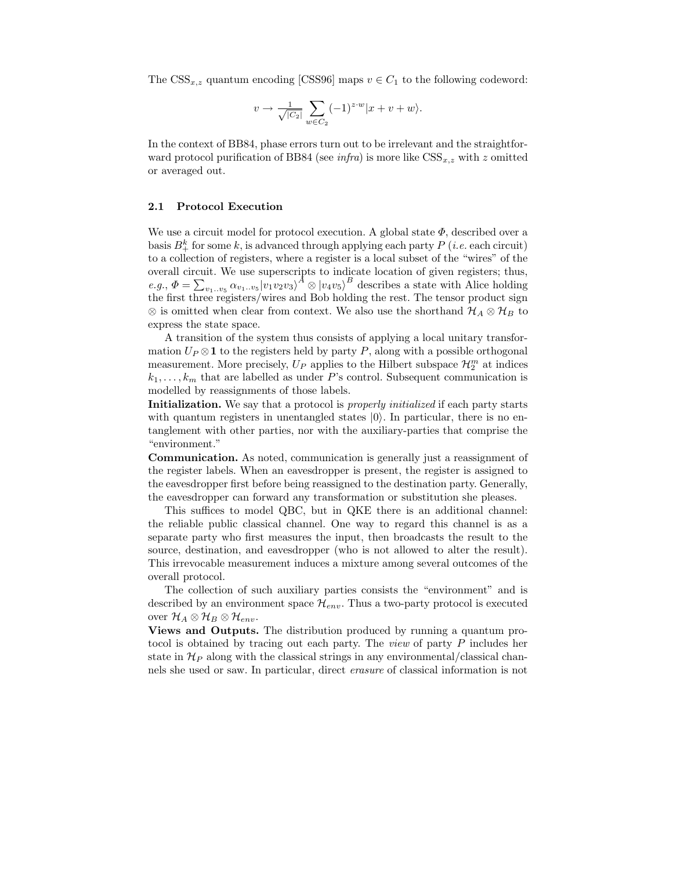The  $CSS_{x,z}$  quantum encoding [CSS96] maps  $v \in C_1$  to the following codeword:

$$
v \to \frac{1}{\sqrt{|C_2|}} \sum_{w \in C_2} (-1)^{z \cdot w} |x + v + w\rangle.
$$

In the context of BB84, phase errors turn out to be irrelevant and the straightforward protocol purification of BB84 (see *infra*) is more like  $CSS_{x,z}$  with z omitted or averaged out.

### 2.1 Protocol Execution

We use a circuit model for protocol execution. A global state  $\Phi$ , described over a basis  $B_{+}^{k}$  for some k, is advanced through applying each party P (*i.e.* each circuit) to a collection of registers, where a register is a local subset of the "wires" of the overall circuit. We use superscripts to indicate location of given registers; thus,  $e.g., \Phi = \sum_{v_1...v_5} \alpha_{v_1...v_5} |v_1v_2v_3\rangle^A \otimes |v_4v_5\rangle^B$  describes a state with Alice holding the first three registers/wires and Bob holding the rest. The tensor product sign ⊗ is omitted when clear from context. We also use the shorthand  $\mathcal{H}_A \otimes \mathcal{H}_B$  to express the state space.

A transition of the system thus consists of applying a local unitary transformation  $U_P \otimes \mathbf{1}$  to the registers held by party P, along with a possible orthogonal measurement. More precisely,  $U_P$  applies to the Hilbert subspace  $\mathcal{H}_2^m$  at indices  $k_1, \ldots, k_m$  that are labelled as under P's control. Subsequent communication is modelled by reassignments of those labels.

Initialization. We say that a protocol is *properly initialized* if each party starts with quantum registers in unentangled states  $|0\rangle$ . In particular, there is no entanglement with other parties, nor with the auxiliary-parties that comprise the "environment."

Communication. As noted, communication is generally just a reassignment of the register labels. When an eavesdropper is present, the register is assigned to the eavesdropper first before being reassigned to the destination party. Generally, the eavesdropper can forward any transformation or substitution she pleases.

This suffices to model QBC, but in QKE there is an additional channel: the reliable public classical channel. One way to regard this channel is as a separate party who first measures the input, then broadcasts the result to the source, destination, and eavesdropper (who is not allowed to alter the result). This irrevocable measurement induces a mixture among several outcomes of the overall protocol.

The collection of such auxiliary parties consists the "environment" and is described by an environment space  $\mathcal{H}_{env}$ . Thus a two-party protocol is executed over  $\mathcal{H}_A \otimes \mathcal{H}_B \otimes \mathcal{H}_{env}$ .

Views and Outputs. The distribution produced by running a quantum protocol is obtained by tracing out each party. The view of party P includes her state in  $\mathcal{H}_P$  along with the classical strings in any environmental/classical channels she used or saw. In particular, direct erasure of classical information is not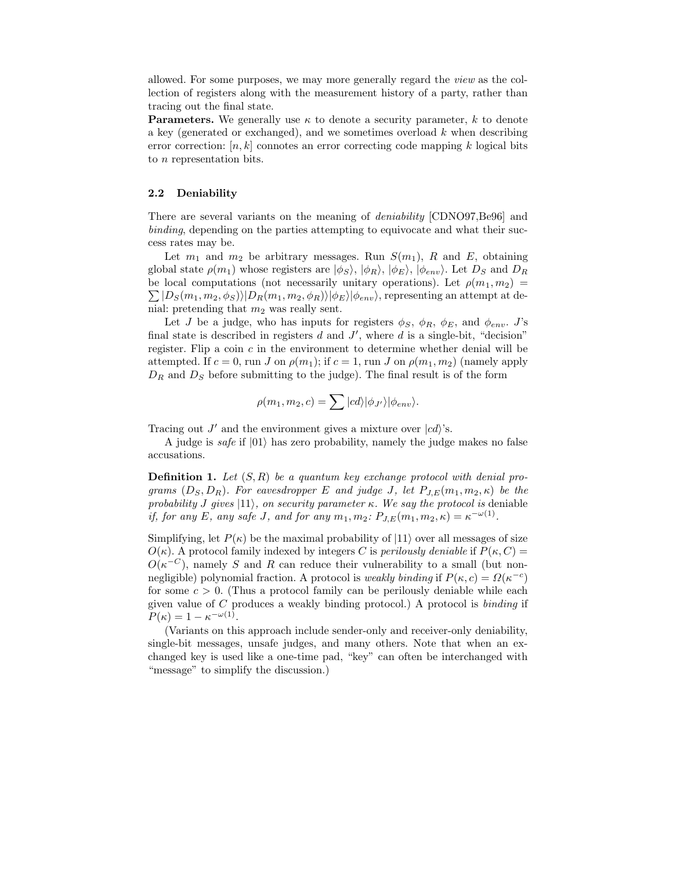allowed. For some purposes, we may more generally regard the view as the collection of registers along with the measurement history of a party, rather than tracing out the final state.

**Parameters.** We generally use  $\kappa$  to denote a security parameter, k to denote a key (generated or exchanged), and we sometimes overload  $k$  when describing error correction:  $[n, k]$  connotes an error correcting code mapping k logical bits to n representation bits.

#### 2.2 Deniability

There are several variants on the meaning of deniability [CDNO97,Be96] and binding, depending on the parties attempting to equivocate and what their success rates may be.

Let  $m_1$  and  $m_2$  be arbitrary messages. Run  $S(m_1)$ , R and E, obtaining global state  $\rho(m_1)$  whose registers are  $|\phi_S\rangle$ ,  $|\phi_R\rangle$ ,  $|\phi_E\rangle$ ,  $|\phi_{env}\rangle$ . Let  $D_S$  and  $D_R$ be local computations (not necessarily unitary operations). Let  $\rho(m_1, m_2)$  =  $\sum |D_S(m_1, m_2, \phi_S)\rangle |D_R(m_1, m_2, \phi_R)\rangle |\phi_E\rangle |\phi_{env}\rangle$ , representing an attempt at denial: pretending that  $m_2$  was really sent.

Let J be a judge, who has inputs for registers  $\phi_S$ ,  $\phi_R$ ,  $\phi_E$ , and  $\phi_{env}$ . J's final state is described in registers  $d$  and  $J'$ , where  $d$  is a single-bit, "decision" register. Flip a coin  $c$  in the environment to determine whether denial will be attempted. If  $c = 0$ , run J on  $\rho(m_1)$ ; if  $c = 1$ , run J on  $\rho(m_1, m_2)$  (namely apply  $D_R$  and  $D_S$  before submitting to the judge). The final result is of the form

$$
\rho(m_1, m_2, c) = \sum |cd\rangle |\phi_{J'}\rangle |\phi_{env}\rangle.
$$

Tracing out  $J'$  and the environment gives a mixture over  $|cd\rangle$ 's.

A judge is safe if  $|01\rangle$  has zero probability, namely the judge makes no false accusations.

**Definition 1.** Let  $(S, R)$  be a quantum key exchange protocol with denial programs  $(D_S, D_R)$ . For eavesdropper E and judge J, let  $P_{J,F}(m_1, m_2, \kappa)$  be the probability J gives  $|11\rangle$ , on security parameter κ. We say the protocol is deniable if, for any E, any safe J, and for any  $m_1, m_2$ :  $P_{J,E}(m_1, m_2, \kappa) = \kappa^{-\omega(1)}$ .

Simplifying, let  $P(\kappa)$  be the maximal probability of  $|11\rangle$  over all messages of size  $O(\kappa)$ . A protocol family indexed by integers C is *perilously deniable* if  $P(\kappa, C)$  =  $O(\kappa^{-C})$ , namely S and R can reduce their vulnerability to a small (but nonnegligible) polynomial fraction. A protocol is weakly binding if  $P(\kappa, c) = \Omega(\kappa^{-c})$ for some  $c > 0$ . (Thus a protocol family can be perilously deniable while each given value of  $C$  produces a weakly binding protocol.) A protocol is *binding* if  $P(\kappa) = 1 - \kappa^{-\omega(1)}.$ 

(Variants on this approach include sender-only and receiver-only deniability, single-bit messages, unsafe judges, and many others. Note that when an exchanged key is used like a one-time pad, "key" can often be interchanged with "message" to simplify the discussion.)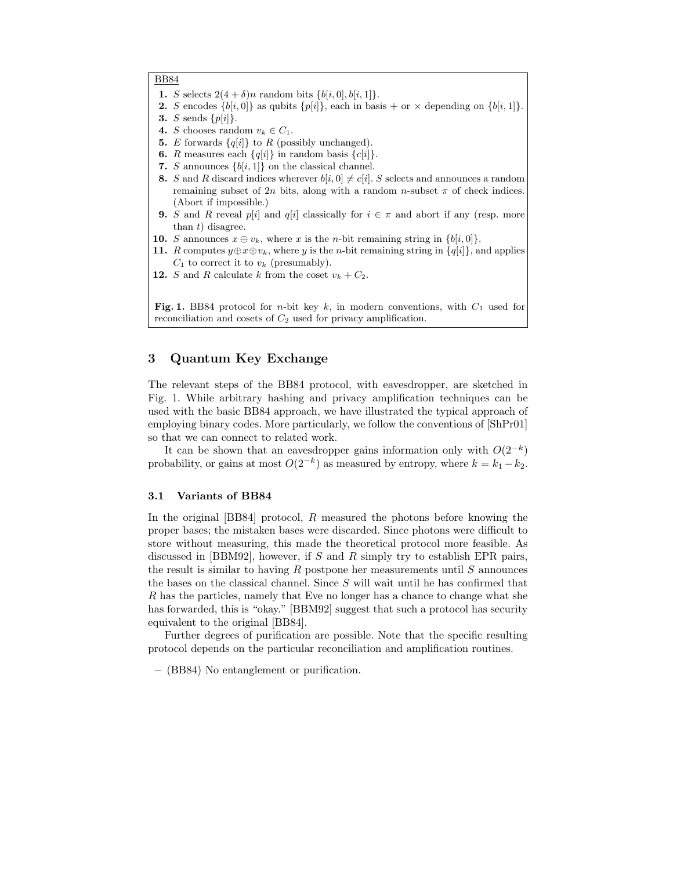BB84

- 1. *S* selects  $2(4 + \delta)n$  random bits  $\{b[i, 0], b[i, 1]\}.$
- 2. S encodes  $\{b[i, 0]\}$  as qubits  $\{p[i]\}$ , each in basis + or  $\times$  depending on  $\{b[i, 1]\}$ .
- 3. S sends  $\{p[i]\}.$
- 4. S chooses random  $v_k \in C_1$ .
- **5.** E forwards  $\{q[i]\}$  to R (possibly unchanged).
- **6.** R measures each  $\{q[i]\}$  in random basis  $\{c[i]\}$ .
- 7. S announces  $\{b[i, 1]\}$  on the classical channel.
- 8. S and R discard indices wherever  $b[i, 0] \neq c[i]$ . S selects and announces a random remaining subset of 2n bits, along with a random n-subset  $\pi$  of check indices. (Abort if impossible.)
- **9.** S and R reveal p[i] and q[i] classically for  $i \in \pi$  and abort if any (resp. more than t) disagree.
- 10. S announces  $x \oplus v_k$ , where x is the n-bit remaining string in  $\{b[i, 0]\}.$
- 11. R computes  $y \oplus x \oplus v_k$ , where y is the n-bit remaining string in  $\{q[i]\}$ , and applies  $C_1$  to correct it to  $v_k$  (presumably).
- **12.** S and R calculate k from the coset  $v_k + C_2$ .

Fig. 1. BB84 protocol for *n*-bit key k, in modern conventions, with  $C_1$  used for reconciliation and cosets of  $C_2$  used for privacy amplification.

# 3 Quantum Key Exchange

The relevant steps of the BB84 protocol, with eavesdropper, are sketched in Fig. 1. While arbitrary hashing and privacy amplification techniques can be used with the basic BB84 approach, we have illustrated the typical approach of employing binary codes. More particularly, we follow the conventions of [ShPr01] so that we can connect to related work.

It can be shown that an eavesdropper gains information only with  $O(2^{-k})$ probability, or gains at most  $O(2^{-k})$  as measured by entropy, where  $k = k_1 - k_2$ .

## 3.1 Variants of BB84

In the original [BB84] protocol, R measured the photons before knowing the proper bases; the mistaken bases were discarded. Since photons were difficult to store without measuring, this made the theoretical protocol more feasible. As discussed in [BBM92], however, if S and R simply try to establish EPR pairs, the result is similar to having  $R$  postpone her measurements until  $S$  announces the bases on the classical channel. Since S will wait until he has confirmed that R has the particles, namely that Eve no longer has a chance to change what she has forwarded, this is "okay." [BBM92] suggest that such a protocol has security equivalent to the original [BB84].

Further degrees of purification are possible. Note that the specific resulting protocol depends on the particular reconciliation and amplification routines.

– (BB84) No entanglement or purification.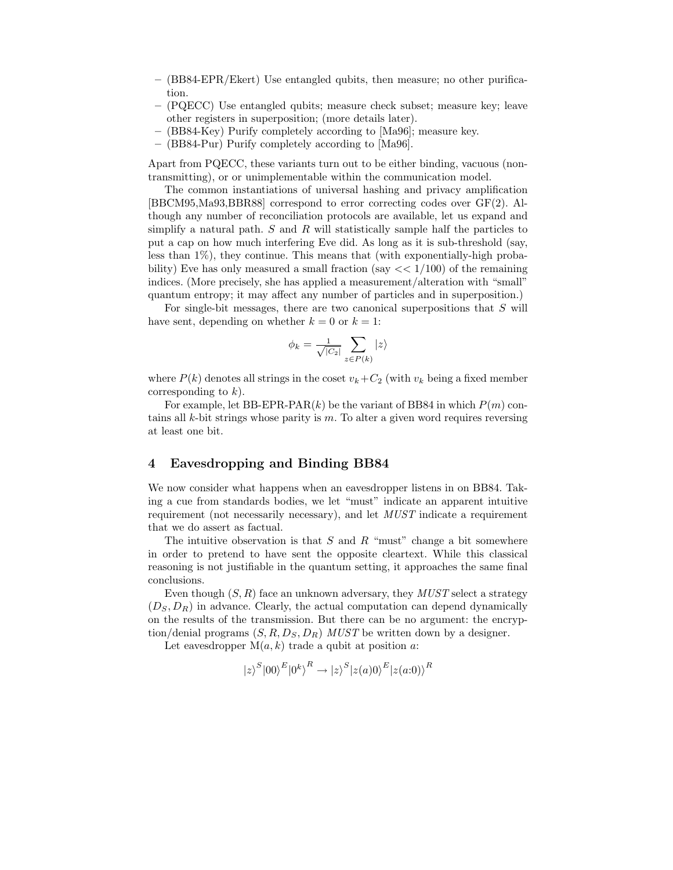- (BB84-EPR/Ekert) Use entangled qubits, then measure; no other purification.
- (PQECC) Use entangled qubits; measure check subset; measure key; leave other registers in superposition; (more details later).
- (BB84-Key) Purify completely according to [Ma96]; measure key.
- (BB84-Pur) Purify completely according to [Ma96].

Apart from PQECC, these variants turn out to be either binding, vacuous (nontransmitting), or or unimplementable within the communication model.

The common instantiations of universal hashing and privacy amplification [BBCM95,Ma93,BBR88] correspond to error correcting codes over GF(2). Although any number of reconciliation protocols are available, let us expand and simplify a natural path.  $S$  and  $R$  will statistically sample half the particles to put a cap on how much interfering Eve did. As long as it is sub-threshold (say, less than 1%), they continue. This means that (with exponentially-high probability) Eve has only measured a small fraction (say  $<< 1/100$ ) of the remaining indices. (More precisely, she has applied a measurement/alteration with "small" quantum entropy; it may affect any number of particles and in superposition.)

For single-bit messages, there are two canonical superpositions that  $S$  will have sent, depending on whether  $k = 0$  or  $k = 1$ :

$$
\phi_k = \frac{1}{\sqrt{|C_2|}} \sum_{z \in P(k)} |z\rangle
$$

where  $P(k)$  denotes all strings in the coset  $v_k+C_2$  (with  $v_k$  being a fixed member corresponding to  $k$ ).

For example, let BB-EPR-PAR $(k)$  be the variant of BB84 in which  $P(m)$  contains all  $k$ -bit strings whose parity is  $m$ . To alter a given word requires reversing at least one bit.

# 4 Eavesdropping and Binding BB84

We now consider what happens when an eavesdropper listens in on BB84. Taking a cue from standards bodies, we let "must" indicate an apparent intuitive requirement (not necessarily necessary), and let MUST indicate a requirement that we do assert as factual.

The intuitive observation is that  $S$  and  $R$  "must" change a bit somewhere in order to pretend to have sent the opposite cleartext. While this classical reasoning is not justifiable in the quantum setting, it approaches the same final conclusions.

Even though  $(S, R)$  face an unknown adversary, they  $MUST$  select a strategy  $(D<sub>S</sub>, D<sub>B</sub>)$  in advance. Clearly, the actual computation can depend dynamically on the results of the transmission. But there can be no argument: the encryption/denial programs  $(S, R, D_S, D_R)$  MUST be written down by a designer.

Let eavesdropper  $M(a, k)$  trade a qubit at position a:

$$
|z\rangle^{S}|00\rangle^{E}|0^{k}\rangle^{R} \rightarrow |z\rangle^{S}|z(a)0\rangle^{E}|z(a:0)\rangle^{R}
$$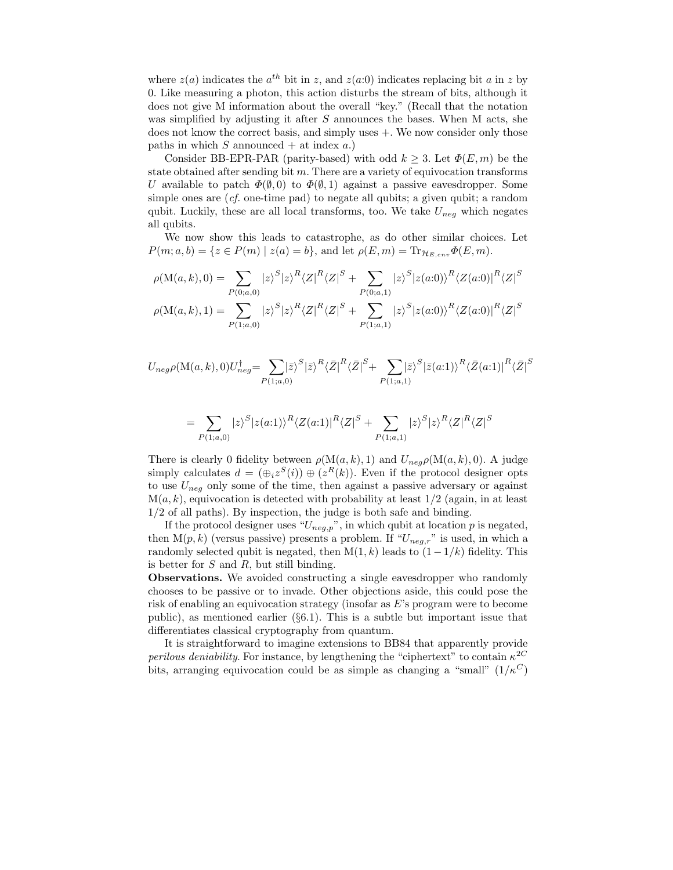where  $z(a)$  indicates the  $a^{th}$  bit in z, and  $z(a:0)$  indicates replacing bit a in z by 0. Like measuring a photon, this action disturbs the stream of bits, although it does not give M information about the overall "key." (Recall that the notation was simplified by adjusting it after  $S$  announces the bases. When M acts, she does not know the correct basis, and simply uses +. We now consider only those paths in which  $S$  announced  $+$  at index  $a$ .)

Consider BB-EPR-PAR (parity-based) with odd  $k > 3$ . Let  $\Phi(E, m)$  be the state obtained after sending bit  $m$ . There are a variety of equivocation transforms U available to patch  $\Phi(\emptyset,0)$  to  $\Phi(\emptyset,1)$  against a passive eavesdropper. Some simple ones are (cf. one-time pad) to negate all qubits; a given qubit; a random qubit. Luckily, these are all local transforms, too. We take  $U_{neg}$  which negates all qubits.

We now show this leads to catastrophe, as do other similar choices. Let  $P(m; a, b) = \{z \in P(m) \mid z(a) = b\}$ , and let  $\rho(E, m) = \text{Tr}_{\mathcal{H}_{E, env}} \Phi(E, m)$ .

$$
\rho(M(a,k),0) = \sum_{P(0;a,0)} |z\rangle^{S} |z\rangle^{R} \langle Z|^{R} \langle Z|^{S} + \sum_{P(0;a,1)} |z\rangle^{S} |z(a:0)\rangle^{R} \langle Z(a:0)|^{R} \langle Z|^{S} \rangle
$$

$$
\rho(M(a,k),1) = \sum_{P(1;a,0)} |z\rangle^{S} |z\rangle^{R} \langle Z|^{R} \langle Z|^{S} + \sum_{P(1;a,1)} |z\rangle^{S} |z(a:0)\rangle^{R} \langle Z(a:0)|^{R} \langle Z|^{S} \rangle
$$

$$
U_{neg} \rho(\mathbf{M}(a,k),0)U_{neg}^{\dagger} = \sum_{P(1;a,0)} |\bar{z}\rangle^{S} |\bar{z}\rangle^{R} \langle \bar{Z}|^{R} \langle \bar{Z}|^{S} + \sum_{P(1;a,1)} |\bar{z}\rangle^{S} |\bar{z}(a:1)\rangle^{R} \langle \bar{Z}(a:1)|^{R} \langle \bar{Z}|^{S}
$$

$$
= \sum_{P(1;a,0)} |z\rangle^{S} |z(a;1)\rangle^{R} \langle Z(a;1)|^{R} \langle Z|^{S} + \sum_{P(1;a,1)} |z\rangle^{S} |z\rangle^{R} \langle Z|^{R} \langle Z|^{S}
$$

There is clearly 0 fidelity between  $\rho(M(a, k), 1)$  and  $U_{neq} \rho(M(a, k), 0)$ . A judge simply calculates  $d = (\bigoplus_i z^S(i)) \oplus (z^R(k))$ . Even if the protocol designer opts to use  $U_{\text{neg}}$  only some of the time, then against a passive adversary or against  $M(a, k)$ , equivocation is detected with probability at least  $1/2$  (again, in at least 1/2 of all paths). By inspection, the judge is both safe and binding.

If the protocol designer uses " $U_{neg,p}$ ", in which qubit at location p is negated, then  $M(p, k)$  (versus passive) presents a problem. If " $U_{neg,r}$ " is used, in which a randomly selected qubit is negated, then  $M(1, k)$  leads to  $(1 - 1/k)$  fidelity. This is better for  $S$  and  $R$ , but still binding.

Observations. We avoided constructing a single eavesdropper who randomly chooses to be passive or to invade. Other objections aside, this could pose the risk of enabling an equivocation strategy (insofar as E's program were to become public), as mentioned earlier  $(\S6.1)$ . This is a subtle but important issue that differentiates classical cryptography from quantum.

It is straightforward to imagine extensions to BB84 that apparently provide *perilous deniability*. For instance, by lengthening the "ciphertext" to contain  $\kappa^{2C}$ bits, arranging equivocation could be as simple as changing a "small"  $(1/\kappa^C)$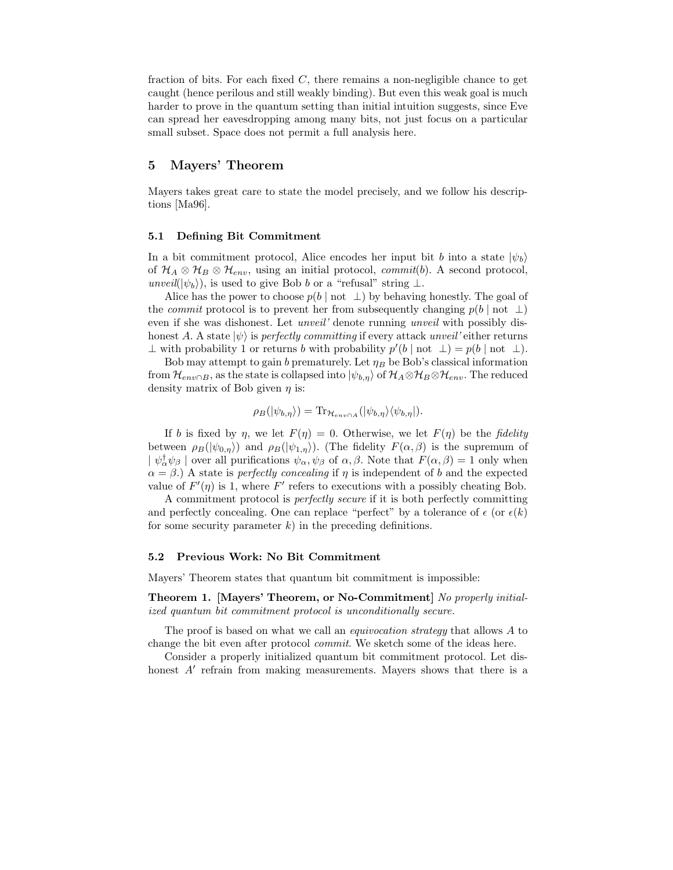fraction of bits. For each fixed  $C$ , there remains a non-negligible chance to get caught (hence perilous and still weakly binding). But even this weak goal is much harder to prove in the quantum setting than initial intuition suggests, since Eve can spread her eavesdropping among many bits, not just focus on a particular small subset. Space does not permit a full analysis here.

# 5 Mayers' Theorem

Mayers takes great care to state the model precisely, and we follow his descriptions [Ma96].

#### 5.1 Defining Bit Commitment

In a bit commitment protocol, Alice encodes her input bit b into a state  $|\psi_b\rangle$ of  $\mathcal{H}_A \otimes \mathcal{H}_B \otimes \mathcal{H}_{env}$ , using an initial protocol, *commit(b)*. A second protocol, unveil $(|\psi_b\rangle)$ , is used to give Bob b or a "refusal" string  $\bot$ .

Alice has the power to choose  $p(b \mid \text{not } \perp)$  by behaving honestly. The goal of the *commit* protocol is to prevent her from subsequently changing  $p(b \mid \text{not } \perp)$ even if she was dishonest. Let *unveil'* denote running *unveil* with possibly dishonest A. A state  $|\psi\rangle$  is perfectly committing if every attack unveil' either returns  $\perp$  with probability 1 or returns b with probability  $p'(b \mid \text{not } \perp) = p(b \mid \text{not } \perp)$ .

Bob may attempt to gain b prematurely. Let  $\eta_B$  be Bob's classical information from  $\mathcal{H}_{env\cap B}$ , as the state is collapsed into  $|\psi_{b,\eta}\rangle$  of  $\mathcal{H}_{A}\otimes\mathcal{H}_{B}\otimes\mathcal{H}_{env}$ . The reduced density matrix of Bob given  $\eta$  is:

$$
\rho_B(|\psi_{b,\eta}\rangle) = \text{Tr}_{\mathcal{H}_{env\cap A}}(|\psi_{b,\eta}\rangle\langle\psi_{b,\eta}|).
$$

If b is fixed by  $\eta$ , we let  $F(\eta) = 0$ . Otherwise, we let  $F(\eta)$  be the fidelity between  $\rho_B(|\psi_{0,\eta}\rangle)$  and  $\rho_B(|\psi_{1,\eta}\rangle)$ . (The fidelity  $F(\alpha,\beta)$  is the supremum of  $|\psi_{\alpha}^{\dagger}\psi_{\beta}|$  over all purifications  $\psi_{\alpha}, \psi_{\beta}$  of  $\alpha, \beta$ . Note that  $F(\alpha, \beta) = 1$  only when  $\alpha = \beta$ .) A state is *perfectly concealing* if  $\eta$  is independent of b and the expected value of  $F'(\eta)$  is 1, where F' refers to executions with a possibly cheating Bob.

A commitment protocol is perfectly secure if it is both perfectly committing and perfectly concealing. One can replace "perfect" by a tolerance of  $\epsilon$  (or  $\epsilon(k)$ ) for some security parameter  $k$ ) in the preceding definitions.

### 5.2 Previous Work: No Bit Commitment

Mayers' Theorem states that quantum bit commitment is impossible:

Theorem 1. [Mayers' Theorem, or No-Commitment] No properly initialized quantum bit commitment protocol is unconditionally secure.

The proof is based on what we call an *equivocation strategy* that allows A to change the bit even after protocol commit. We sketch some of the ideas here.

Consider a properly initialized quantum bit commitment protocol. Let dishonest  $A'$  refrain from making measurements. Mayers shows that there is a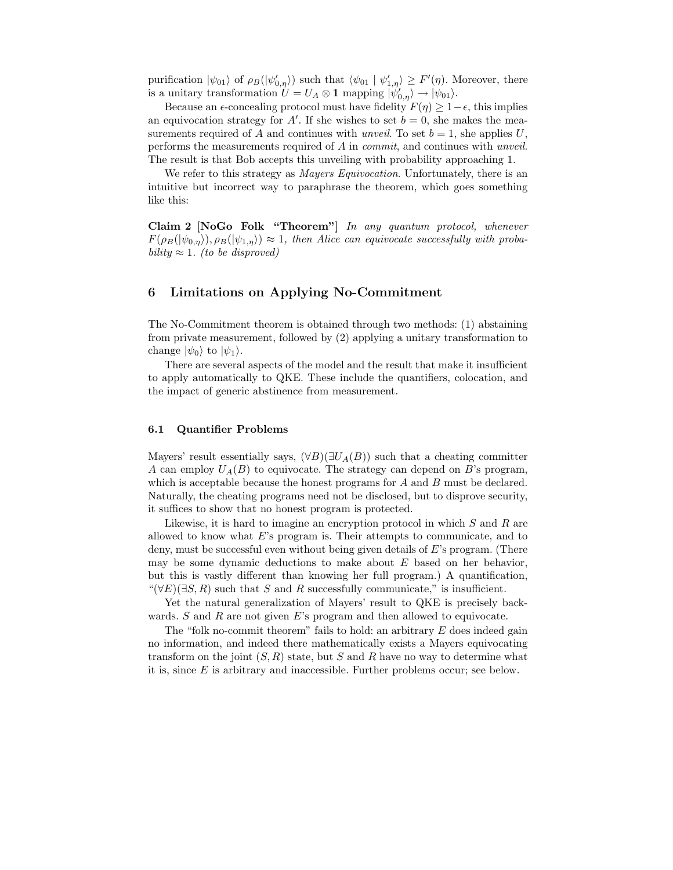purification  $|\psi_{01}\rangle$  of  $\rho_B(|\psi'_{0,\eta}\rangle)$  such that  $\langle \psi_{01} | \psi'_{1,\eta} \rangle \geq F'(\eta)$ . Moreover, there is a unitary transformation  $U = U_A \otimes \mathbf{1}$  mapping  $|\psi'_{0,\eta}\rangle \to |\psi_{01}\rangle$ .

Because an  $\epsilon$ -concealing protocol must have fidelity  $F(\eta) \geq 1-\epsilon$ , this implies an equivocation strategy for A'. If she wishes to set  $b = 0$ , she makes the measurements required of A and continues with unveil. To set  $b = 1$ , she applies U, performs the measurements required of A in commit, and continues with unveil. The result is that Bob accepts this unveiling with probability approaching 1.

We refer to this strategy as *Mayers Equivocation*. Unfortunately, there is an intuitive but incorrect way to paraphrase the theorem, which goes something like this:

Claim 2 [NoGo Folk "Theorem"] In any quantum protocol, whenever  $F(\rho_B(|\psi_{0,\eta}\rangle), \rho_B(|\psi_{1,\eta}\rangle) \approx 1$ , then Alice can equivocate successfully with probability  $\approx 1$ . (to be disproved)

# 6 Limitations on Applying No-Commitment

The No-Commitment theorem is obtained through two methods: (1) abstaining from private measurement, followed by (2) applying a unitary transformation to change  $|\psi_0\rangle$  to  $|\psi_1\rangle$ .

There are several aspects of the model and the result that make it insufficient to apply automatically to QKE. These include the quantifiers, colocation, and the impact of generic abstinence from measurement.

### 6.1 Quantifier Problems

Mayers' result essentially says,  $(\forall B)(\exists U_A(B))$  such that a cheating committer A can employ  $U_A(B)$  to equivocate. The strategy can depend on B's program, which is acceptable because the honest programs for A and B must be declared. Naturally, the cheating programs need not be disclosed, but to disprove security, it suffices to show that no honest program is protected.

Likewise, it is hard to imagine an encryption protocol in which  $S$  and  $R$  are allowed to know what  $E$ 's program is. Their attempts to communicate, and to deny, must be successful even without being given details of  $E$ 's program. (There may be some dynamic deductions to make about  $E$  based on her behavior, but this is vastly different than knowing her full program.) A quantification, " $(\forall E)(\exists S, R)$  such that S and R successfully communicate," is insufficient.

Yet the natural generalization of Mayers' result to QKE is precisely backwards.  $S$  and  $R$  are not given  $E$ 's program and then allowed to equivocate.

The "folk no-commit theorem" fails to hold: an arbitrary  $E$  does indeed gain no information, and indeed there mathematically exists a Mayers equivocating transform on the joint  $(S, R)$  state, but S and R have no way to determine what it is, since  $E$  is arbitrary and inaccessible. Further problems occur; see below.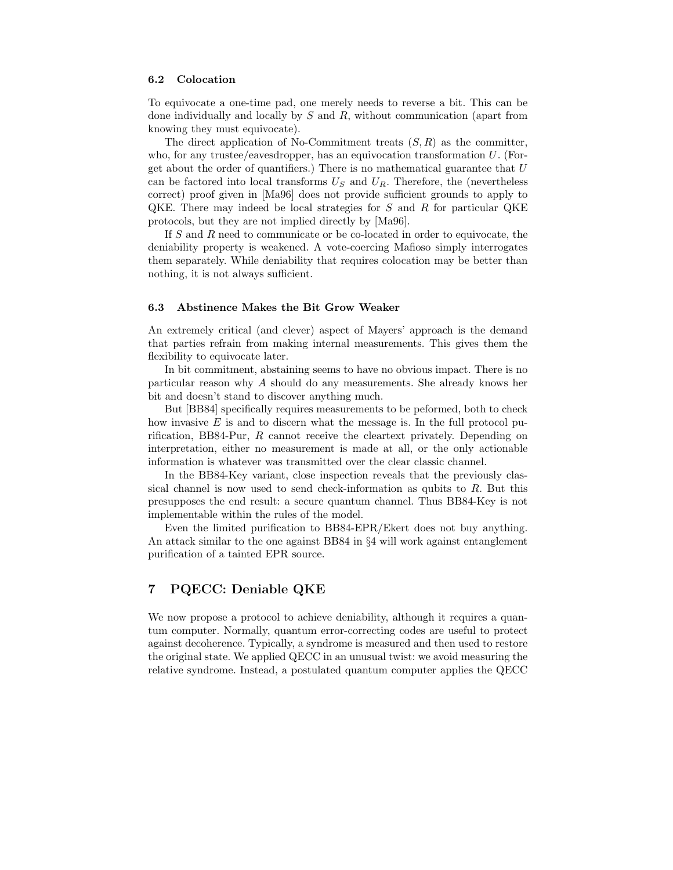# 6.2 Colocation

To equivocate a one-time pad, one merely needs to reverse a bit. This can be done individually and locally by  $S$  and  $R$ , without communication (apart from knowing they must equivocate).

The direct application of No-Commitment treats  $(S, R)$  as the committer, who, for any trustee/eavesdropper, has an equivocation transformation  $U$ . (Forget about the order of quantifiers.) There is no mathematical guarantee that U can be factored into local transforms  $U<sub>S</sub>$  and  $U<sub>R</sub>$ . Therefore, the (nevertheless correct) proof given in [Ma96] does not provide sufficient grounds to apply to QKE. There may indeed be local strategies for  $S$  and  $R$  for particular QKE protocols, but they are not implied directly by [Ma96].

If S and R need to communicate or be co-located in order to equivocate, the deniability property is weakened. A vote-coercing Mafioso simply interrogates them separately. While deniability that requires colocation may be better than nothing, it is not always sufficient.

### 6.3 Abstinence Makes the Bit Grow Weaker

An extremely critical (and clever) aspect of Mayers' approach is the demand that parties refrain from making internal measurements. This gives them the flexibility to equivocate later.

In bit commitment, abstaining seems to have no obvious impact. There is no particular reason why A should do any measurements. She already knows her bit and doesn't stand to discover anything much.

But [BB84] specifically requires measurements to be peformed, both to check how invasive  $E$  is and to discern what the message is. In the full protocol purification, BB84-Pur, R cannot receive the cleartext privately. Depending on interpretation, either no measurement is made at all, or the only actionable information is whatever was transmitted over the clear classic channel.

In the BB84-Key variant, close inspection reveals that the previously classical channel is now used to send check-information as qubits to  $R$ . But this presupposes the end result: a secure quantum channel. Thus BB84-Key is not implementable within the rules of the model.

Even the limited purification to BB84-EPR/Ekert does not buy anything. An attack similar to the one against BB84 in §4 will work against entanglement purification of a tainted EPR source.

# 7 PQECC: Deniable QKE

We now propose a protocol to achieve deniability, although it requires a quantum computer. Normally, quantum error-correcting codes are useful to protect against decoherence. Typically, a syndrome is measured and then used to restore the original state. We applied QECC in an unusual twist: we avoid measuring the relative syndrome. Instead, a postulated quantum computer applies the QECC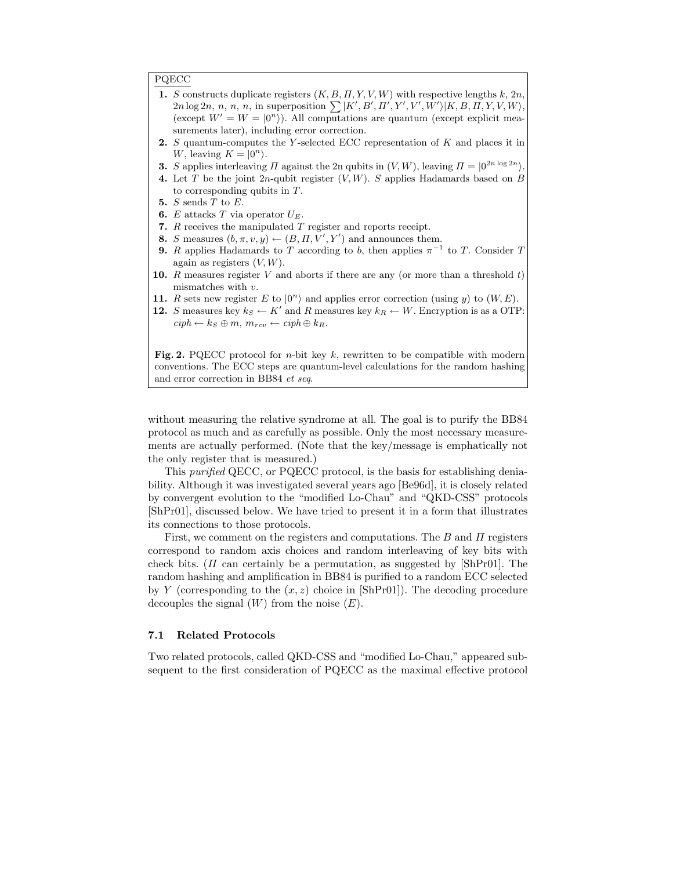### PQECC

- 1. S constructs duplicate registers  $(K, B, \Pi, Y, V, W)$  with respective lengths k, 2n,  $2n \log 2n, n, n, n$ , in superposition  $\sum |K', B', \Pi', Y', V', \overline{W'}\rangle | K, B, \overline{\Pi}, Y, V, \overline{W'}\rangle,$ (except  $W' = W = |0^n\rangle$ ). All computations are quantum (except explicit measurements later), including error correction.
- 2. S quantum-computes the Y-selected ECC representation of K and places it in W, leaving  $K = |0^n\rangle$ .
- 3. S applies interleaving  $\Pi$  against the 2n qubits in  $(V, W)$ , leaving  $\Pi = \left|0^{2n \log 2n}\right\rangle$ .
- 4. Let T be the joint 2n-qubit register  $(V, W)$ . S applies Hadamards based on B to corresponding qubits in T.
- 5.  $S$  sends  $T$  to  $E$ .
- **6.** E attacks T via operator  $U_F$ .
- 7.  $R$  receives the manipulated  $T$  register and reports receipt.
- 8. S measures  $(b, \pi, v, y) \leftarrow (B, \Pi, V', Y')$  and announces them.
- **9.** R applies Hadamards to T according to b, then applies  $\pi^{-1}$  to T. Consider T again as registers  $(V, W)$ .
- 10. R measures register V and aborts if there are any (or more than a threshold  $t$ ) mismatches with  $v$ .
- 11. R sets new register E to  $|0^n\rangle$  and applies error correction (using y) to  $(W, E)$ .
- 12. S measures key  $k_S \leftarrow K'$  and R measures key  $k_R \leftarrow W$ . Encryption is as a OTP:  $ciph \leftarrow k_S \oplus m, m_{rcv} \leftarrow ciph \oplus k_R.$

Fig. 2. PQECC protocol for *n*-bit key k, rewritten to be compatible with modern conventions. The ECC steps are quantum-level calculations for the random hashing and error correction in BB84 et seq.

without measuring the relative syndrome at all. The goal is to purify the BB84 protocol as much and as carefully as possible. Only the most necessary measurements are actually performed. (Note that the key/message is emphatically not the only register that is measured.)

This purified QECC, or PQECC protocol, is the basis for establishing deniability. Although it was investigated several years ago [Be96d], it is closely related by convergent evolution to the "modified Lo-Chau" and "QKD-CSS" protocols [ShPr01], discussed below. We have tried to present it in a form that illustrates its connections to those protocols.

First, we comment on the registers and computations. The  $B$  and  $\Pi$  registers correspond to random axis choices and random interleaving of key bits with check bits. ( $\Pi$  can certainly be a permutation, as suggested by  $|\text{ShPr01}|$ . The random hashing and amplification in BB84 is purified to a random ECC selected by Y (corresponding to the  $(x, z)$  choice in [ShPr01]). The decoding procedure decouples the signal  $(W)$  from the noise  $(E)$ .

### 7.1 Related Protocols

Two related protocols, called QKD-CSS and "modified Lo-Chau," appeared subsequent to the first consideration of PQECC as the maximal effective protocol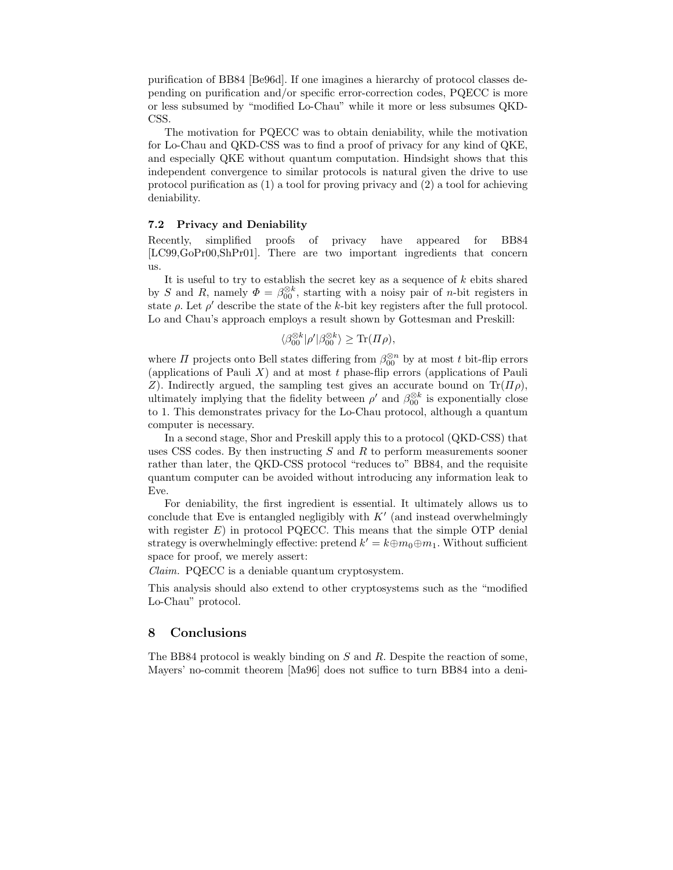purification of BB84 [Be96d]. If one imagines a hierarchy of protocol classes depending on purification and/or specific error-correction codes, PQECC is more or less subsumed by "modified Lo-Chau" while it more or less subsumes QKD-CSS.

The motivation for PQECC was to obtain deniability, while the motivation for Lo-Chau and QKD-CSS was to find a proof of privacy for any kind of QKE, and especially QKE without quantum computation. Hindsight shows that this independent convergence to similar protocols is natural given the drive to use protocol purification as (1) a tool for proving privacy and (2) a tool for achieving deniability.

### 7.2 Privacy and Deniability

Recently, simplified proofs of privacy have appeared for BB84 [LC99,GoPr00,ShPr01]. There are two important ingredients that concern us.

It is useful to try to establish the secret key as a sequence of  $k$  ebits shared by S and R, namely  $\Phi = \beta_{00}^{\otimes k}$ , starting with a noisy pair of n-bit registers in state  $\rho$ . Let  $\rho'$  describe the state of the k-bit key registers after the full protocol. Lo and Chau's approach employs a result shown by Gottesman and Preskill:

$$
\langle \beta_{00}^{\otimes k} | \rho' | \beta_{00}^{\otimes k} \rangle \geq \text{Tr}(\Pi \rho),
$$

where  $\Pi$  projects onto Bell states differing from  $\beta_{00}^{\otimes n}$  by at most t bit-flip errors (applications of Pauli  $X$ ) and at most t phase-flip errors (applications of Pauli Z). Indirectly argued, the sampling test gives an accurate bound on  $\text{Tr}(\Pi \rho)$ , ultimately implying that the fidelity between  $\rho'$  and  $\beta_{00}^{\otimes k}$  is exponentially close to 1. This demonstrates privacy for the Lo-Chau protocol, although a quantum computer is necessary.

In a second stage, Shor and Preskill apply this to a protocol (QKD-CSS) that uses CSS codes. By then instructing  $S$  and  $R$  to perform measurements sooner rather than later, the QKD-CSS protocol "reduces to" BB84, and the requisite quantum computer can be avoided without introducing any information leak to Eve.

For deniability, the first ingredient is essential. It ultimately allows us to conclude that Eve is entangled negligibly with  $K'$  (and instead overwhelmingly with register  $E$ ) in protocol PQECC. This means that the simple OTP denial strategy is overwhelmingly effective: pretend  $k' = k \oplus m_0 \oplus m_1$ . Without sufficient space for proof, we merely assert:

Claim. PQECC is a deniable quantum cryptosystem.

This analysis should also extend to other cryptosystems such as the "modified Lo-Chau" protocol.

# 8 Conclusions

The BB84 protocol is weakly binding on S and R. Despite the reaction of some, Mayers' no-commit theorem [Ma96] does not suffice to turn BB84 into a deni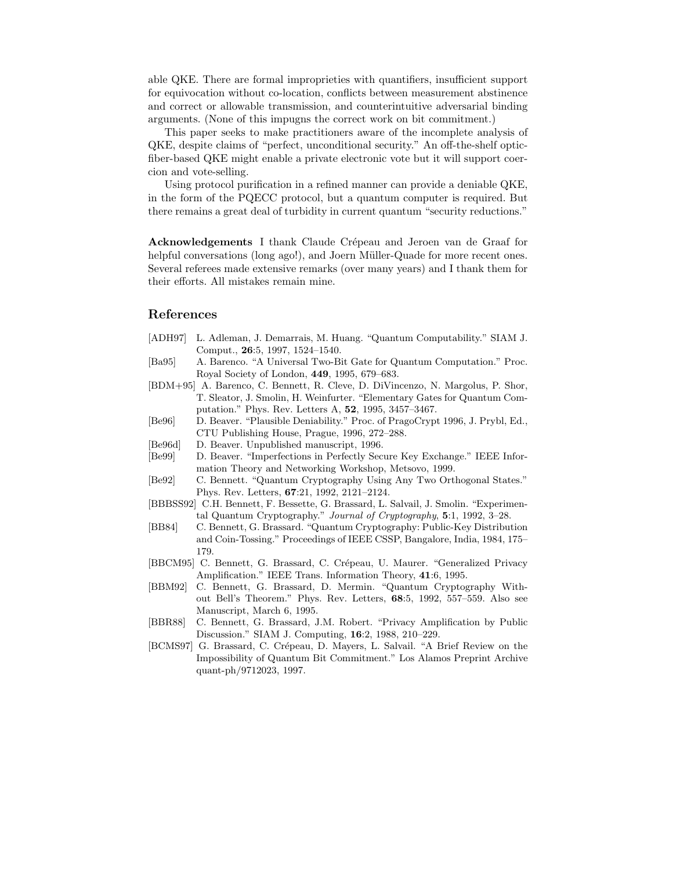able QKE. There are formal improprieties with quantifiers, insufficient support for equivocation without co-location, conflicts between measurement abstinence and correct or allowable transmission, and counterintuitive adversarial binding arguments. (None of this impugns the correct work on bit commitment.)

This paper seeks to make practitioners aware of the incomplete analysis of QKE, despite claims of "perfect, unconditional security." An off-the-shelf opticfiber-based QKE might enable a private electronic vote but it will support coercion and vote-selling.

Using protocol purification in a refined manner can provide a deniable QKE, in the form of the PQECC protocol, but a quantum computer is required. But there remains a great deal of turbidity in current quantum "security reductions."

Acknowledgements I thank Claude Crépeau and Jeroen van de Graaf for helpful conversations (long ago!), and Joern Müller-Quade for more recent ones. Several referees made extensive remarks (over many years) and I thank them for their efforts. All mistakes remain mine.

# References

- [ADH97] L. Adleman, J. Demarrais, M. Huang. "Quantum Computability." SIAM J. Comput., 26:5, 1997, 1524–1540.
- [Ba95] A. Barenco. "A Universal Two-Bit Gate for Quantum Computation." Proc. Royal Society of London, 449, 1995, 679–683.
- [BDM+95] A. Barenco, C. Bennett, R. Cleve, D. DiVincenzo, N. Margolus, P. Shor, T. Sleator, J. Smolin, H. Weinfurter. "Elementary Gates for Quantum Computation." Phys. Rev. Letters A, 52, 1995, 3457–3467.
- [Be96] D. Beaver. "Plausible Deniability." Proc. of PragoCrypt 1996, J. Prybl, Ed., CTU Publishing House, Prague, 1996, 272–288.
- [Be96d] D. Beaver. Unpublished manuscript, 1996.
- [Be99] D. Beaver. "Imperfections in Perfectly Secure Key Exchange." IEEE Information Theory and Networking Workshop, Metsovo, 1999.
- [Be92] C. Bennett. "Quantum Cryptography Using Any Two Orthogonal States." Phys. Rev. Letters, 67:21, 1992, 2121–2124.
- [BBBSS92] C.H. Bennett, F. Bessette, G. Brassard, L. Salvail, J. Smolin. "Experimental Quantum Cryptography." Journal of Cryptography, 5:1, 1992, 3–28.
- [BB84] C. Bennett, G. Brassard. "Quantum Cryptography: Public-Key Distribution and Coin-Tossing." Proceedings of IEEE CSSP, Bangalore, India, 1984, 175– 179.
- [BBCM95] C. Bennett, G. Brassard, C. Crépeau, U. Maurer. "Generalized Privacy Amplification." IEEE Trans. Information Theory, 41:6, 1995.
- [BBM92] C. Bennett, G. Brassard, D. Mermin. "Quantum Cryptography Without Bell's Theorem." Phys. Rev. Letters, 68:5, 1992, 557–559. Also see Manuscript, March 6, 1995.
- [BBR88] C. Bennett, G. Brassard, J.M. Robert. "Privacy Amplification by Public Discussion." SIAM J. Computing, 16:2, 1988, 210–229.
- [BCMS97] G. Brassard, C. Crépeau, D. Mayers, L. Salvail. "A Brief Review on the Impossibility of Quantum Bit Commitment." Los Alamos Preprint Archive quant-ph/9712023, 1997.